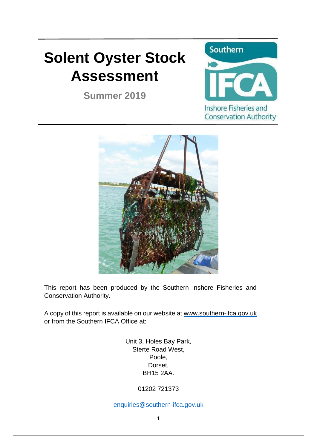# **Solent Oyster Stock Assessment**

**Summer 2019**





This report has been produced by the Southern Inshore Fisheries and Conservation Authority.

A copy of this report is available on our website at [www.southern-ifca.gov.uk](http://www.southern-ifca.gov.uk/) or from the Southern IFCA Office at:

> Unit 3, Holes Bay Park, Sterte Road West, Poole, Dorset, BH15 2AA.

> > 01202 721373

[enquiries@southern-ifca.gov.uk](mailto:enquiries@southern-ifca.gov.uk)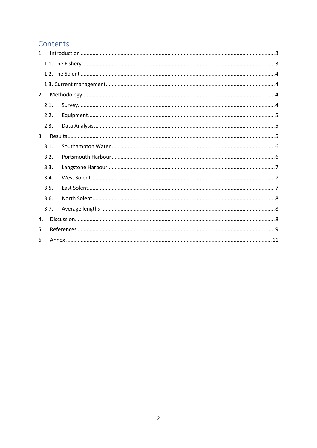# Contents

| $\mathbf{1}$ . |      |  |  |  |  |  |  |  |
|----------------|------|--|--|--|--|--|--|--|
|                |      |  |  |  |  |  |  |  |
|                |      |  |  |  |  |  |  |  |
|                |      |  |  |  |  |  |  |  |
| 2.             |      |  |  |  |  |  |  |  |
|                | 2.1. |  |  |  |  |  |  |  |
|                | 2.2. |  |  |  |  |  |  |  |
|                | 2.3. |  |  |  |  |  |  |  |
| 3.             |      |  |  |  |  |  |  |  |
|                | 3.1. |  |  |  |  |  |  |  |
|                | 3.2. |  |  |  |  |  |  |  |
|                | 3.3. |  |  |  |  |  |  |  |
|                | 3.4. |  |  |  |  |  |  |  |
|                | 3.5. |  |  |  |  |  |  |  |
|                | 3.6. |  |  |  |  |  |  |  |
|                | 3.7. |  |  |  |  |  |  |  |
| 4.             |      |  |  |  |  |  |  |  |
| 5.             |      |  |  |  |  |  |  |  |
| 6.             |      |  |  |  |  |  |  |  |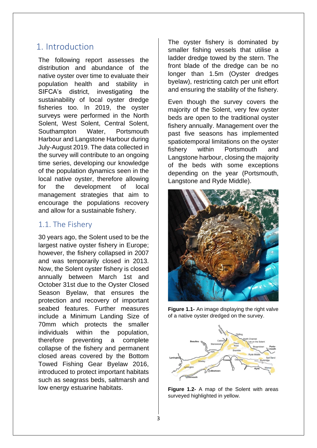# <span id="page-2-0"></span>1. Introduction

The following report assesses the distribution and abundance of the native oyster over time to evaluate their population health and stability in SIFCA's district, investigating the sustainability of local oyster dredge fisheries too. In 2019, the oyster surveys were performed in the North Solent, West Solent, Central Solent, Southampton Water, Portsmouth Harbour and Langstone Harbour during July-August 2019. The data collected in the survey will contribute to an ongoing time series, developing our knowledge of the population dynamics seen in the local native oyster, therefore allowing for the development of local management strategies that aim to encourage the populations recovery and allow for a sustainable fishery.

## <span id="page-2-1"></span>1.1. The Fishery

30 years ago, the Solent used to be the largest native oyster fishery in Europe; however, the fishery collapsed in 2007 and was temporarily closed in 2013. Now, the Solent oyster fishery is closed annually between March 1st and October 31st due to the Oyster Closed Season Byelaw, that ensures the protection and recovery of important seabed features. Further measures include a Minimum Landing Size of 70mm which protects the smaller individuals within the population, therefore preventing a complete collapse of the fishery and permanent closed areas covered by the Bottom Towed Fishing Gear Byelaw 2016, introduced to protect important habitats such as seagrass beds, saltmarsh and low energy estuarine habitats.

The oyster fishery is dominated by smaller fishing vessels that utilise a ladder dredge towed by the stern. The front blade of the dredge can be no longer than 1.5m (Oyster dredges byelaw), restricting catch per unit effort and ensuring the stability of the fishery.

Even though the survey covers the majority of the Solent, very few oyster beds are open to the traditional oyster fishery annually. Management over the past five seasons has implemented spatiotemporal limitations on the oyster fishery within Portsmouth and Langstone harbour, closing the majority of the beds with some exceptions depending on the year (Portsmouth, Langstone and Ryde Middle).



**Figure 1.1-** An image displaying the right valve of a native oyster dredged on the survey.



**Figure 1.2-** A map of the Solent with areas surveyed highlighted in yellow.

3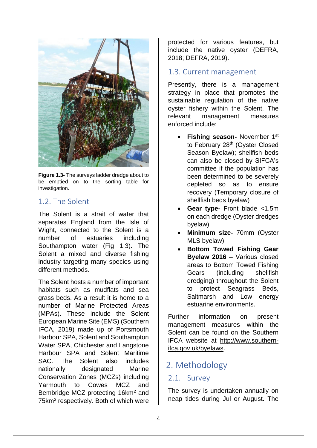

**Figure 1.3-** The surveys ladder dredge about to be emptied on to the sorting table for investigation.

## <span id="page-3-0"></span>1.2. The Solent

The Solent is a strait of water that separates England from the Isle of Wight, connected to the Solent is a number of estuaries including Southampton water (Fig 1.3). The Solent a mixed and diverse fishing industry targeting many species using different methods.

The Solent hosts a number of important habitats such as mudflats and sea grass beds. As a result it is home to a number of Marine Protected Areas (MPAs). These include the Solent European Marine Site (EMS) (Southern IFCA, 2019) made up of Portsmouth Harbour SPA, Solent and Southampton Water SPA, Chichester and Langstone Harbour SPA and Solent Maritime SAC. The Solent also includes nationally designated Marine Conservation Zones (MCZs) including Yarmouth to Cowes MCZ and Bembridge MCZ protecting 16km<sup>2</sup> and 75km<sup>2</sup> respectively. Both of which were protected for various features, but include the native oyster (DEFRA, 2018; DEFRA, 2019).

# <span id="page-3-1"></span>1.3. Current management

Presently, there is a management strategy in place that promotes the sustainable regulation of the native oyster fishery within the Solent. The relevant management measures enforced include:

- **Fishing season-** November 1st to February 28<sup>th</sup> (Oyster Closed Season Byelaw); shellfish beds can also be closed by SIFCA's committee if the population has been determined to be severely depleted so as to ensure recovery (Temporary closure of shellfish beds byelaw)
- **Gear type-** Front blade <1.5m on each dredge (Oyster dredges byelaw)
- **Minimum size-** 70mm (Oyster MLS byelaw)
- **Bottom Towed Fishing Gear Byelaw 2016 –** Various closed areas to Bottom Towed Fishing Gears (including shellfish dredging) throughout the Solent to protect Seagrass Beds, Saltmarsh and Low energy estuarine environments.

Further information on present management measures within the Solent can be found on the Southern IFCA website at [http://www.southern](http://www.southern-ifca.gov.uk/byelaws)[ifca.gov.uk/byelaws.](http://www.southern-ifca.gov.uk/byelaws)

# <span id="page-3-2"></span>2. Methodology

## <span id="page-3-3"></span>2.1. Survey

The survey is undertaken annually on neap tides during Jul or August. The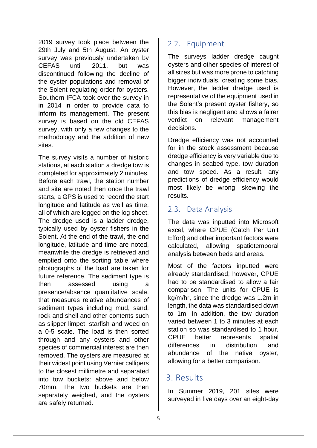2019 survey took place between the 29th July and 5th August. An oyster survey was previously undertaken by CEFAS until 2011, but was discontinued following the decline of the oyster populations and removal of the Solent regulating order for oysters. Southern IFCA took over the survey in in 2014 in order to provide data to inform its management. The present survey is based on the old CEFAS survey, with only a few changes to the methodology and the addition of new sites.

The survey visits a number of historic stations, at each station a dredge tow is completed for approximately 2 minutes. Before each trawl, the station number and site are noted then once the trawl starts, a GPS is used to record the start longitude and latitude as well as time, all of which are logged on the log sheet. The dredge used is a ladder dredge, typically used by oyster fishers in the Solent. At the end of the trawl, the end longitude, latitude and time are noted, meanwhile the dredge is retrieved and emptied onto the sorting table where photographs of the load are taken for future reference. The sediment type is then assessed using a presence/absence quantitative scale, that measures relative abundances of sediment types including mud, sand, rock and shell and other contents such as slipper limpet, starfish and weed on a 0-5 scale. The load is then sorted through and any oysters and other species of commercial interest are then removed. The oysters are measured at their widest point using Vernier callipers to the closest millimetre and separated into tow buckets: above and below 70mm. The two buckets are then separately weighed, and the oysters are safely returned.

# <span id="page-4-0"></span>2.2. Equipment

The surveys ladder dredge caught oysters and other species of interest of all sizes but was more prone to catching bigger individuals, creating some bias. However, the ladder dredge used is representative of the equipment used in the Solent's present oyster fishery, so this bias is negligent and allows a fairer verdict on relevant management decisions.

Dredge efficiency was not accounted for in the stock assessment because dredge efficiency is very variable due to changes in seabed type, tow duration and tow speed. As a result, any predictions of dredge efficiency would most likely be wrong, skewing the results.

# <span id="page-4-1"></span>2.3. Data Analysis

The data was inputted into Microsoft excel, where CPUE (Catch Per Unit Effort) and other important factors were calculated, allowing spatiotemporal analysis between beds and areas.

Most of the factors inputted were already standardised; however, CPUE had to be standardised to allow a fair comparison. The units for CPUE is kg/m/hr, since the dredge was 1.2m in length, the data was standardised down to 1m. In addition, the tow duration varied between 1 to 3 minutes at each station so was standardised to 1 hour. CPUE better represents spatial differences in distribution and abundance of the native oyster, allowing for a better comparison.

# <span id="page-4-2"></span>3. Results

In Summer 2019, 201 sites were surveyed in five days over an eight-day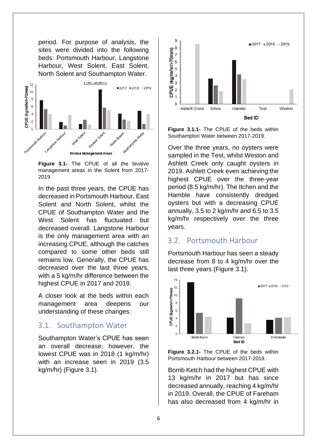period. For purpose of analysis, the sites were divided into the following beds: Portsmouth Harbour, Langstone Harbour, West Solent, East Solent, North Solent and Southampton Water.



**Figure 3.1-** The CPUE of all the bivalve management areas in the Solent from 2017- 2019.

In the past three years, the CPUE has decreased in Portsmouth Harbour, East Solent and North Solent, whilst the CPUE of Southampton Water and the West Solent has fluctuated but decreased overall. Langstone Harbour is the only management area with an increasing CPUE, although the catches compared to some other beds still remains low. Generally, the CPUE has decreased over the last three years, with a 5 kg/m/hr difference between the highest CPUE in 2017 and 2019.

A closer look at the beds within each management area deepens our understanding of these changes.

#### <span id="page-5-0"></span>3.1. Southampton Water

Southampton Water's CPUE has seen an overall decrease; however, the lowest CPUE was in 2018 (1 kg/m/hr) with an increase seen in 2019 (3.5 kg/m/hr) (Figure 3.1).



**Figure 3.1.1-** The CPUE of the beds within Southampton Water between 2017-2019.

Over the three years, no oysters were sampled in the Test, whilst Weston and Ashlett Creek only caught oysters in 2019. Ashlett Creek even achieving the highest CPUE over the three-year period (8.5 kg/m/hr). The Itchen and the Hamble have consistently dredged oysters but with a decreasing CPUE annually, 3.5 to 2 kg/m/hr and 6.5 to 3.5 kg/m/hr respectively over the three years.

#### <span id="page-5-1"></span>3.2. Portsmouth Harbour

Portsmouth Harbour has seen a steady decrease from 8 to 4 kg/m/hr over the last three years (Figure 3.1).



**Figure 3.2.1-** The CPUE of the beds within Portsmouth Harbour between 2017-2019.

Bomb Ketch had the highest CPUE with 13 kg/m/hr in 2017 but has since decreased annually, reaching 4 kg/m/hr in 2019. Overall, the CPUE of Fareham has also decreased from 4 kg/m/hr in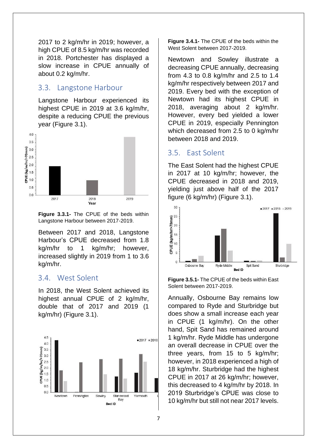2017 to 2 kg/m/hr in 2019; however, a high CPUE of 8.5 kg/m/hr was recorded in 2018. Portchester has displayed a slow increase in CPUE annually of about 0.2 kg/m/hr.

#### <span id="page-6-0"></span>3.3. Langstone Harbour

Langstone Harbour experienced its highest CPUE in 2019 at 3.6 kg/m/hr, despite a reducing CPUE the previous year (Figure 3.1).





Between 2017 and 2018, Langstone Harbour's CPUE decreased from 1.8 kg/m/hr to 1 kg/m/hr; however, increased slightly in 2019 from 1 to 3.6 kg/m/hr.

#### <span id="page-6-1"></span>3.4. West Solent

In 2018, the West Solent achieved its highest annual CPUE of 2 kg/m/hr, double that of 2017 and 2019 (1 kg/m/hr) (Figure 3.1).



**Figure 3.4.1-** The CPUE of the beds within the West Solent between 2017-2019.

Newtown and Sowley illustrate a decreasing CPUE annually, decreasing from 4.3 to 0.8 kg/m/hr and 2.5 to 1.4 kg/m/hr respectively between 2017 and 2019. Every bed with the exception of Newtown had its highest CPUE in 2018, averaging about 2 kg/m/hr. However, every bed yielded a lower CPUE in 2019, especially Pennington which decreased from 2.5 to 0 kg/m/hr between 2018 and 2019.

#### <span id="page-6-2"></span>3.5. East Solent

The East Solent had the highest CPUE in 2017 at 10 kg/m/hr; however, the CPUE decreased in 2018 and 2019, yielding just above half of the 2017 figure (6 kg/m/hr) (Figure 3.1).



**Figure 3.5.1-** The CPUE of the beds within East Solent between 2017-2019.

Annually, Osbourne Bay remains low compared to Ryde and Sturbridge but does show a small increase each year in CPUE (1 kg/m/hr). On the other hand, Spit Sand has remained around 1 kg/m/hr. Ryde Middle has undergone an overall decrease in CPUE over the three years, from 15 to 5 kg/m/hr; however, in 2018 experienced a high of 18 kg/m/hr. Sturbridge had the highest CPUE in 2017 at 26 kg/m/hr; however, this decreased to 4 kg/m/hr by 2018. In 2019 Sturbridge's CPUE was close to 10 kg/m/hr but still not near 2017 levels.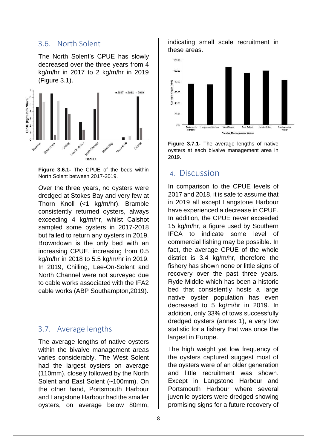#### <span id="page-7-0"></span>3.6. North Solent

The North Solent's CPUE has slowly decreased over the three years from 4 kg/m/hr in 2017 to 2 kg/m/hr in 2019 (Figure 3.1).



**Figure 3.6.1-** The CPUE of the beds within North Solent between 2017-2019.

Over the three years, no oysters were dredged at Stokes Bay and very few at Thorn Knoll (<1 kg/m/hr). Bramble consistently returned oysters, always exceeding 4 kg/m/hr, whilst Calshot sampled some oysters in 2017-2018 but failed to return any oysters in 2019. Browndown is the only bed with an increasing CPUE, increasing from 0.5 kg/m/hr in 2018 to 5.5 kg/m/hr in 2019. In 2019, Chilling, Lee-On-Solent and North Channel were not surveyed due to cable works associated with the IFA2 cable works (ABP Southampton,2019).

### <span id="page-7-1"></span>3.7. Average lengths

The average lengths of native oysters within the bivalve management areas varies considerably. The West Solent had the largest oysters on average (110mm), closely followed by the North Solent and East Solent (~100mm). On the other hand, Portsmouth Harbour and Langstone Harbour had the smaller oysters, on average below 80mm,

indicating small scale recruitment in these areas.





## <span id="page-7-2"></span>4. Discussion

In comparison to the CPUE levels of 2017 and 2018, it is safe to assume that in 2019 all except Langstone Harbour have experienced a decrease in CPUE. In addition, the CPUE never exceeded 15 kg/m/hr, a figure used by Southern IFCA to indicate some level of commercial fishing may be possible. In fact, the average CPUE of the whole district is 3.4 kg/m/hr, therefore the fishery has shown none or little signs of recovery over the past three years. Ryde Middle which has been a historic bed that consistently hosts a large native oyster population has even decreased to 5 kg/m/hr in 2019. In addition, only 33% of tows successfully dredged oysters (annex 1), a very low statistic for a fishery that was once the largest in Europe.

The high weight yet low frequency of the oysters captured suggest most of the oysters were of an older generation and little recruitment was shown. Except in Langstone Harbour and Portsmouth Harbour where several juvenile oysters were dredged showing promising signs for a future recovery of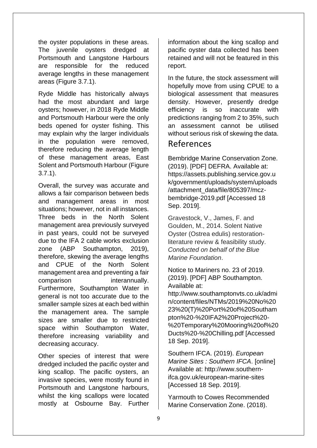the oyster populations in these areas. The juvenile oysters dredged at Portsmouth and Langstone Harbours are responsible for the reduced average lengths in these management areas (Figure 3.7.1).

Ryde Middle has historically always had the most abundant and large oysters; however, in 2018 Ryde Middle and Portsmouth Harbour were the only beds opened for oyster fishing. This may explain why the larger individuals in the population were removed, therefore reducing the average length of these management areas, East Solent and Portsmouth Harbour (Figure 3.7.1).

Overall, the survey was accurate and allows a fair comparison between beds and management areas in most situations; however, not in all instances. Three beds in the North Solent management area previously surveyed in past years, could not be surveyed due to the IFA 2 cable works exclusion zone (ABP Southampton, 2019), therefore, skewing the average lengths and CPUE of the North Solent management area and preventing a fair comparison interannually. Furthermore, Southampton Water in general is not too accurate due to the smaller sample sizes at each bed within the management area. The sample sizes are smaller due to restricted space within Southampton Water, therefore increasing variability and decreasing accuracy.

Other species of interest that were dredged included the pacific oyster and king scallop. The pacific oysters, an invasive species, were mostly found in Portsmouth and Langstone harbours, whilst the king scallops were located mostly at Osbourne Bay. Further information about the king scallop and pacific oyster data collected has been retained and will not be featured in this report.

In the future, the stock assessment will hopefully move from using CPUE to a biological assessment that measures density. However, presently dredge efficiency is so inaccurate with predictions ranging from 2 to 35%, such an assessment cannot be utilised without serious risk of skewing the data.

# <span id="page-8-0"></span>References

Bembridge Marine Conservation Zone. (2019). [PDF] DEFRA. Available at: https://assets.publishing.service.gov.u k/government/uploads/system/uploads /attachment\_data/file/805397/mczbembridge-2019.pdf [Accessed 18 Sep. 2019].

Gravestock, V., James, F. and Goulden, M., 2014. Solent Native Oyster (Ostrea edulis) restorationliterature review & feasibility study. *Conducted on behalf of the Blue Marine Foundation*.

Notice to Mariners no. 23 of 2019. (2019). [PDF] ABP Southampton. Available at:

http://www.southamptonvts.co.uk/admi n/content/files/NTMs/2019%20No%20 23%20(T)%20Port%20of%20Southam pton%20-%20IFA2%20Project%20- %20Temporary%20Mooring%20of%20 Ducts%20-%20Chilling.pdf [Accessed 18 Sep. 2019].

Southern IFCA. (2019). *European Marine Sites : Southern IFCA*. [online] Available at: http://www.southernifca.gov.uk/european-marine-sites [Accessed 18 Sep. 2019].

Yarmouth to Cowes Recommended Marine Conservation Zone. (2018).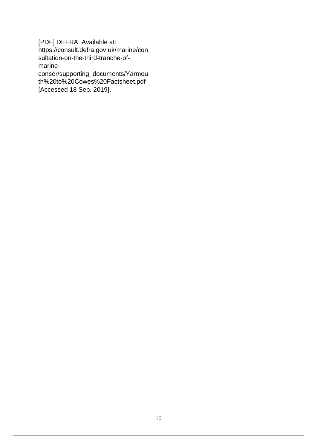[PDF] DEFRA. Available at: https://consult.defra.gov.uk/marine/con sultation-on-the-third-tranche-ofmarine-

conser/supporting\_documents/Yarmou th%20to%20Cowes%20Factsheet.pdf [Accessed 18 Sep. 2019].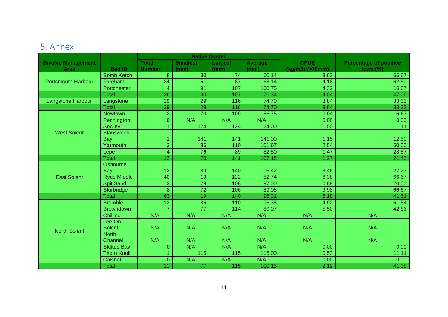# 5. Annex

<span id="page-10-0"></span>

|                           |                    | <b>Native Oyster</b>    |                  |                  |                |                 |                               |
|---------------------------|--------------------|-------------------------|------------------|------------------|----------------|-----------------|-------------------------------|
| <b>Bivalve Management</b> |                    | <b>Total</b>            | <b>Smallest</b>  | Largest          | <b>Average</b> | <b>CPUE</b>     | <b>Percentage of positive</b> |
| <b>Area</b>               | <b>Bed ID</b>      | <b>Number</b>           | (mm)             | (mm)             | (mm)           | (kg/m/hr/>70mm) | tows $(\% )$                  |
|                           | <b>Bomb Ketch</b>  | 8                       | 30               | 74               | 60.14          | 3.63            | 66.67                         |
| <b>Portsmouth Harbour</b> | Fareham            | 24                      | 51               | 87               | 68.14          | 4.18            | 62.50                         |
|                           | Portchester        | $\overline{\mathbf{4}}$ | 91               | 107              | 100.75         | 4.32            | 16.67                         |
|                           | <b>Total</b>       | 36                      | 30               | 107              | 76.34          | 4.04            | 47.06                         |
| Langstone Harbour         | Langstone          | 29                      | 29               | 116              | 74.70          | 3.84            | 33.33                         |
|                           | <b>Total</b>       | 29                      | 29               | 116              | 74.70          | 3.84            | 33.33                         |
|                           | <b>Newtown</b>     | $\overline{3}$          | $\overline{70}$  | 109              | 86.75          | 0.94            | 16.67                         |
|                           | Pennington         | $\overline{0}$          | N/A              | N/A              | N/A            | 0.00            | 0.00                          |
|                           | Sowley             | 1                       | 124              | 124              | 124.00         | 1.50            | 11.11                         |
| <b>West Solent</b>        | Stanswood          |                         |                  |                  |                |                 |                               |
|                           | Bay                | 1                       | 141              | 141              | 141.00         | 1.15            | 12.50                         |
|                           | Yarmouth           | $\overline{3}$          | $\overline{86}$  | $\overline{110}$ | 101.67         | 2.54            | 50.00                         |
|                           | Lepe               | $\overline{4}$          | 76               | 89               | 82.50          | 1.47            | 28.57                         |
|                           | <b>Total</b>       | 12                      | 70               | 141              | 107.18         | 1.27            | 21.43                         |
|                           | Osbourne           |                         |                  |                  |                |                 |                               |
|                           | Bay                | 12                      | 89               | 140              | 116.42         | 3.46            | 27.27                         |
| <b>East Solent</b>        | <b>Ryde Middle</b> | 40                      | 19               | 122              | 82.74          | 6.38            | 66.67                         |
|                           | <b>Spit Sand</b>   | $\overline{3}$          | 79               | 108              | 97.00          | 0.89            | 20.00                         |
|                           | Sturbridge         | $\overline{8}$          | $\overline{72}$  | 106              | 89.08          | 9.98            | 66.67                         |
|                           | <b>Total</b>       | 63                      | 19               | 140              | 96.31          | 5.18            | 41.51                         |
|                           | <b>Bramble</b>     | $\overline{13}$         | 86               | 110              | 96.38          | 4.92            | 61.54                         |
|                           | <b>Browndown</b>   | $\overline{7}$          | $\overline{77}$  | 114              | 89.07          | 5.50            | 42.86                         |
|                           | Chilling           | N/A                     | N/A              | N/A              | N/A            | N/A             | N/A                           |
|                           | Lee-On-            |                         |                  |                  |                |                 |                               |
| <b>North Solent</b>       | <b>Solent</b>      | N/A                     | N/A              | N/A              | N/A            | N/A             | N/A                           |
|                           | <b>North</b>       |                         |                  |                  |                |                 |                               |
|                           | Channel            | N/A                     | N/A              | N/A              | N/A            | N/A             | N/A                           |
|                           | <b>Stokes Bay</b>  | $\overline{0}$          | N/A              | N/A              | N/A            | 0.00            | 0.00 <sub>1</sub>             |
|                           | <b>Thorn Knoll</b> |                         | $\overline{115}$ | 115              | 115.00         | 0.53            | 11.11                         |
|                           | Calshot            | $\Omega$                | N/A              | N/A              | N/A            | 0.00            | 0.00                          |
|                           | <b>Total</b>       | $\overline{21}$         | 77               | 115              | 100.15         | 2.19            | 41.38                         |